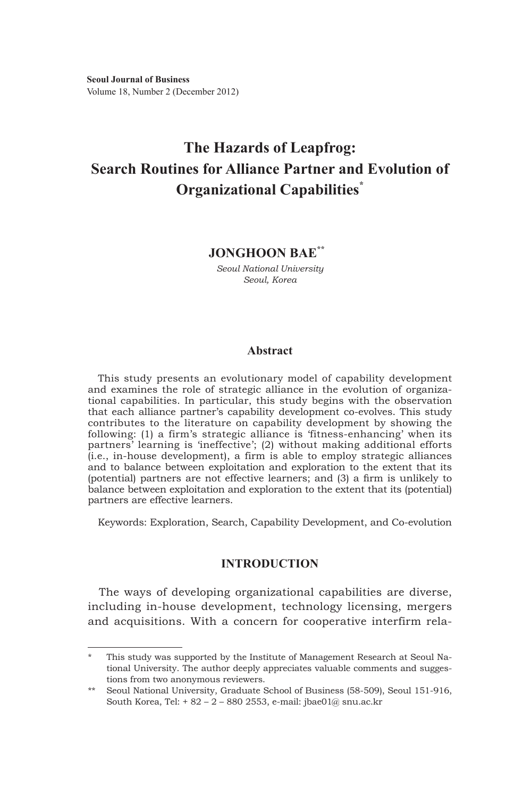**Seoul Journal of Business** Volume 18, Number 2 (December 2012)

# **The Hazards of Leapfrog: Search Routines for Alliance Partner and Evolution of Organizational Capabilities\***

# **Jonghoon Bae\*\*1)**

*Seoul National University Seoul, Korea*

## **Abstract**

This study presents an evolutionary model of capability development and examines the role of strategic alliance in the evolution of organizational capabilities. In particular, this study begins with the observation that each alliance partner's capability development co-evolves. This study contributes to the literature on capability development by showing the following: (1) a firm's strategic alliance is 'fitness-enhancing' when its partners' learning is 'ineffective'; (2) without making additional efforts (i.e., in-house development), a firm is able to employ strategic alliances and to balance between exploitation and exploration to the extent that its (potential) partners are not effective learners; and (3) a firm is unlikely to balance between exploitation and exploration to the extent that its (potential) partners are effective learners.

Keywords: Exploration, Search, Capability Development, and Co-evolution

## **INTRODUCTION**

The ways of developing organizational capabilities are diverse, including in-house development, technology licensing, mergers and acquisitions. With a concern for cooperative interfirm rela-

This study was supported by the Institute of Management Research at Seoul National University. The author deeply appreciates valuable comments and suggestions from two anonymous reviewers.

<sup>\*\*</sup> Seoul National University, Graduate School of Business (58-509), Seoul 151-916, South Korea, Tel: + 82 – 2 – 880 2553, e-mail: jbae01@ snu.ac.kr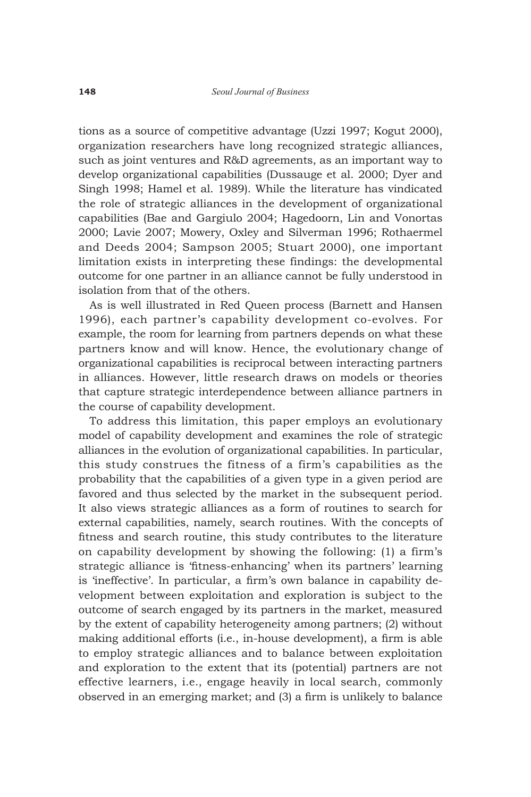tions as a source of competitive advantage (Uzzi 1997; Kogut 2000), organization researchers have long recognized strategic alliances, such as joint ventures and R&D agreements, as an important way to develop organizational capabilities (Dussauge et al. 2000; Dyer and Singh 1998; Hamel et al. 1989). While the literature has vindicated the role of strategic alliances in the development of organizational capabilities (Bae and Gargiulo 2004; Hagedoorn, Lin and Vonortas 2000; Lavie 2007; Mowery, Oxley and Silverman 1996; Rothaermel and Deeds 2004; Sampson 2005; Stuart 2000), one important limitation exists in interpreting these findings: the developmental outcome for one partner in an alliance cannot be fully understood in isolation from that of the others.

As is well illustrated in Red Queen process (Barnett and Hansen 1996), each partner's capability development co-evolves. For example, the room for learning from partners depends on what these partners know and will know. Hence, the evolutionary change of organizational capabilities is reciprocal between interacting partners in alliances. However, little research draws on models or theories that capture strategic interdependence between alliance partners in the course of capability development.

To address this limitation, this paper employs an evolutionary model of capability development and examines the role of strategic alliances in the evolution of organizational capabilities. In particular, this study construes the fitness of a firm's capabilities as the probability that the capabilities of a given type in a given period are favored and thus selected by the market in the subsequent period. It also views strategic alliances as a form of routines to search for external capabilities, namely, search routines. With the concepts of fitness and search routine, this study contributes to the literature on capability development by showing the following: (1) a firm's strategic alliance is 'fitness-enhancing' when its partners' learning is 'ineffective'. In particular, a firm's own balance in capability development between exploitation and exploration is subject to the outcome of search engaged by its partners in the market, measured by the extent of capability heterogeneity among partners; (2) without making additional efforts (i.e., in-house development), a firm is able to employ strategic alliances and to balance between exploitation and exploration to the extent that its (potential) partners are not effective learners, i.e., engage heavily in local search, commonly observed in an emerging market; and (3) a firm is unlikely to balance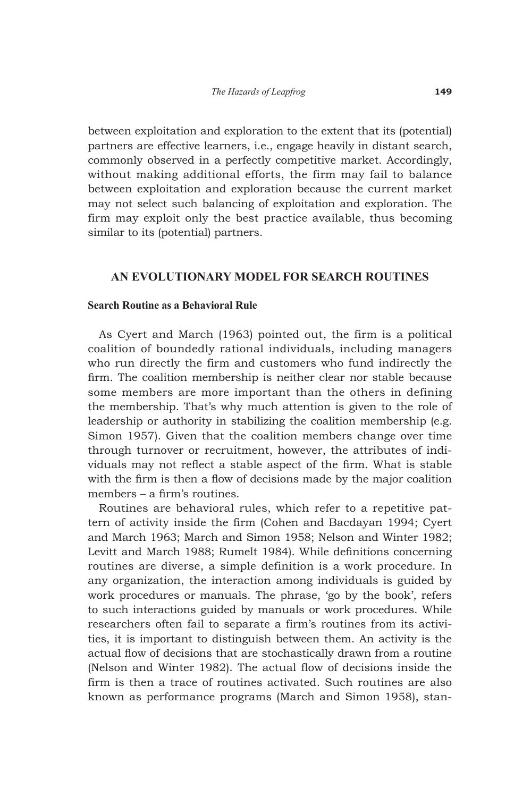between exploitation and exploration to the extent that its (potential) partners are effective learners, i.e., engage heavily in distant search, commonly observed in a perfectly competitive market. Accordingly, without making additional efforts, the firm may fail to balance between exploitation and exploration because the current market may not select such balancing of exploitation and exploration. The firm may exploit only the best practice available, thus becoming similar to its (potential) partners.

## **AN EVOLUTIONARY MODEL FOR SEARCH ROUTINES**

#### **Search Routine as a Behavioral Rule**

As Cyert and March (1963) pointed out, the firm is a political coalition of boundedly rational individuals, including managers who run directly the firm and customers who fund indirectly the firm. The coalition membership is neither clear nor stable because some members are more important than the others in defining the membership. That's why much attention is given to the role of leadership or authority in stabilizing the coalition membership (e.g. Simon 1957). Given that the coalition members change over time through turnover or recruitment, however, the attributes of individuals may not reflect a stable aspect of the firm. What is stable with the firm is then a flow of decisions made by the major coalition members – a firm's routines.

Routines are behavioral rules, which refer to a repetitive pattern of activity inside the firm (Cohen and Bacdayan 1994; Cyert and March 1963; March and Simon 1958; Nelson and Winter 1982; Levitt and March 1988; Rumelt 1984). While definitions concerning routines are diverse, a simple definition is a work procedure. In any organization, the interaction among individuals is guided by work procedures or manuals. The phrase, 'go by the book', refers to such interactions guided by manuals or work procedures. While researchers often fail to separate a firm's routines from its activities, it is important to distinguish between them. An activity is the actual flow of decisions that are stochastically drawn from a routine (Nelson and Winter 1982). The actual flow of decisions inside the firm is then a trace of routines activated. Such routines are also known as performance programs (March and Simon 1958), stan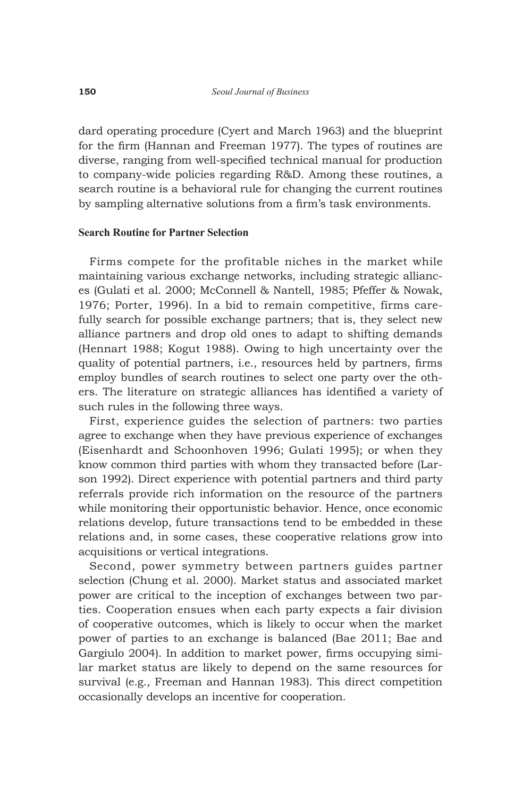dard operating procedure (Cyert and March 1963) and the blueprint for the firm (Hannan and Freeman 1977). The types of routines are diverse, ranging from well-specified technical manual for production to company-wide policies regarding R&D. Among these routines, a search routine is a behavioral rule for changing the current routines by sampling alternative solutions from a firm's task environments.

## **Search Routine for Partner Selection**

Firms compete for the profitable niches in the market while maintaining various exchange networks, including strategic alliances (Gulati et al. 2000; McConnell & Nantell, 1985; Pfeffer & Nowak, 1976; Porter, 1996). In a bid to remain competitive, firms carefully search for possible exchange partners; that is, they select new alliance partners and drop old ones to adapt to shifting demands (Hennart 1988; Kogut 1988). Owing to high uncertainty over the quality of potential partners, i.e., resources held by partners, firms employ bundles of search routines to select one party over the others. The literature on strategic alliances has identified a variety of such rules in the following three ways.

First, experience guides the selection of partners: two parties agree to exchange when they have previous experience of exchanges (Eisenhardt and Schoonhoven 1996; Gulati 1995); or when they know common third parties with whom they transacted before (Larson 1992). Direct experience with potential partners and third party referrals provide rich information on the resource of the partners while monitoring their opportunistic behavior. Hence, once economic relations develop, future transactions tend to be embedded in these relations and, in some cases, these cooperative relations grow into acquisitions or vertical integrations.

Second, power symmetry between partners guides partner selection (Chung et al. 2000). Market status and associated market power are critical to the inception of exchanges between two parties. Cooperation ensues when each party expects a fair division of cooperative outcomes, which is likely to occur when the market power of parties to an exchange is balanced (Bae 2011; Bae and Gargiulo 2004). In addition to market power, firms occupying similar market status are likely to depend on the same resources for survival (e.g., Freeman and Hannan 1983). This direct competition occasionally develops an incentive for cooperation.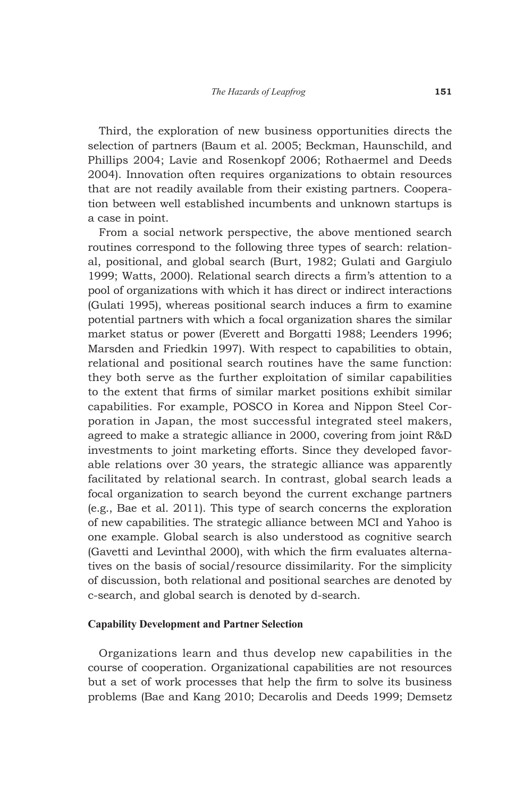Third, the exploration of new business opportunities directs the selection of partners (Baum et al. 2005; Beckman, Haunschild, and Phillips 2004; Lavie and Rosenkopf 2006; Rothaermel and Deeds 2004). Innovation often requires organizations to obtain resources that are not readily available from their existing partners. Cooperation between well established incumbents and unknown startups is a case in point.

From a social network perspective, the above mentioned search routines correspond to the following three types of search: relational, positional, and global search (Burt, 1982; Gulati and Gargiulo 1999; Watts, 2000). Relational search directs a firm's attention to a pool of organizations with which it has direct or indirect interactions (Gulati 1995), whereas positional search induces a firm to examine potential partners with which a focal organization shares the similar market status or power (Everett and Borgatti 1988; Leenders 1996; Marsden and Friedkin 1997). With respect to capabilities to obtain, relational and positional search routines have the same function: they both serve as the further exploitation of similar capabilities to the extent that firms of similar market positions exhibit similar capabilities. For example, POSCO in Korea and Nippon Steel Corporation in Japan, the most successful integrated steel makers, agreed to make a strategic alliance in 2000, covering from joint R&D investments to joint marketing efforts. Since they developed favorable relations over 30 years, the strategic alliance was apparently facilitated by relational search. In contrast, global search leads a focal organization to search beyond the current exchange partners (e.g., Bae et al. 2011). This type of search concerns the exploration of new capabilities. The strategic alliance between MCI and Yahoo is one example. Global search is also understood as cognitive search (Gavetti and Levinthal 2000), with which the firm evaluates alternatives on the basis of social/resource dissimilarity. For the simplicity of discussion, both relational and positional searches are denoted by c-search, and global search is denoted by d-search.

## **Capability Development and Partner Selection**

Organizations learn and thus develop new capabilities in the course of cooperation. Organizational capabilities are not resources but a set of work processes that help the firm to solve its business problems (Bae and Kang 2010; Decarolis and Deeds 1999; Demsetz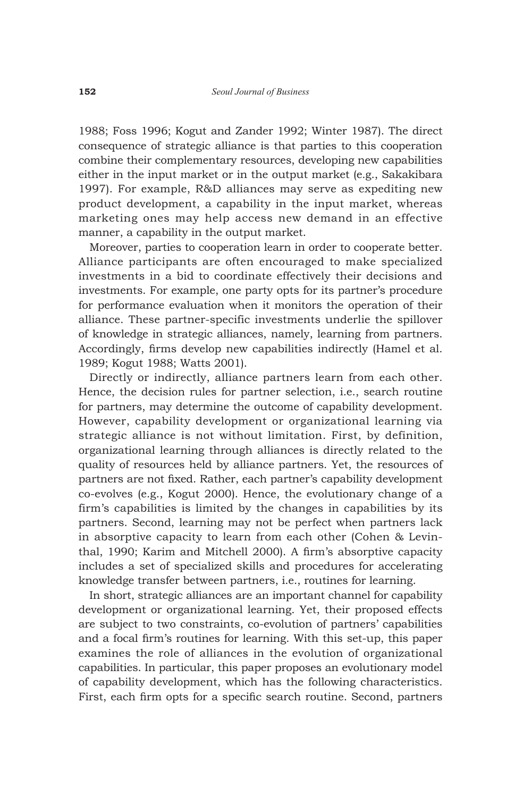1988; Foss 1996; Kogut and Zander 1992; Winter 1987). The direct consequence of strategic alliance is that parties to this cooperation combine their complementary resources, developing new capabilities either in the input market or in the output market (e.g., Sakakibara 1997). For example, R&D alliances may serve as expediting new product development, a capability in the input market, whereas marketing ones may help access new demand in an effective manner, a capability in the output market.

Moreover, parties to cooperation learn in order to cooperate better. Alliance participants are often encouraged to make specialized investments in a bid to coordinate effectively their decisions and investments. For example, one party opts for its partner's procedure for performance evaluation when it monitors the operation of their alliance. These partner-specific investments underlie the spillover of knowledge in strategic alliances, namely, learning from partners. Accordingly, firms develop new capabilities indirectly (Hamel et al. 1989; Kogut 1988; Watts 2001).

Directly or indirectly, alliance partners learn from each other. Hence, the decision rules for partner selection, i.e., search routine for partners, may determine the outcome of capability development. However, capability development or organizational learning via strategic alliance is not without limitation. First, by definition, organizational learning through alliances is directly related to the quality of resources held by alliance partners. Yet, the resources of partners are not fixed. Rather, each partner's capability development co-evolves (e.g., Kogut 2000). Hence, the evolutionary change of a firm's capabilities is limited by the changes in capabilities by its partners. Second, learning may not be perfect when partners lack in absorptive capacity to learn from each other (Cohen & Levinthal, 1990; Karim and Mitchell 2000). A firm's absorptive capacity includes a set of specialized skills and procedures for accelerating knowledge transfer between partners, i.e., routines for learning.

In short, strategic alliances are an important channel for capability development or organizational learning. Yet, their proposed effects are subject to two constraints, co-evolution of partners' capabilities and a focal firm's routines for learning. With this set-up, this paper examines the role of alliances in the evolution of organizational capabilities. In particular, this paper proposes an evolutionary model of capability development, which has the following characteristics. First, each firm opts for a specific search routine. Second, partners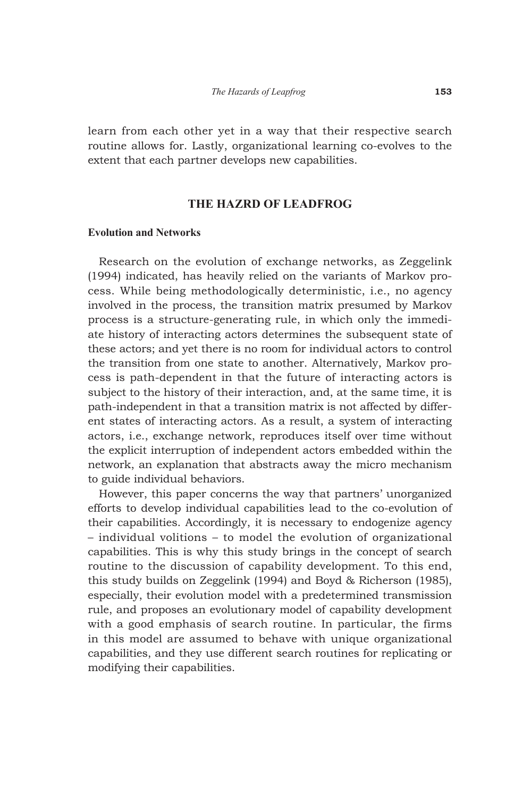learn from each other yet in a way that their respective search routine allows for. Lastly, organizational learning co-evolves to the extent that each partner develops new capabilities.

## **THE HAZRD OF LEADFROG**

#### **Evolution and Networks**

Research on the evolution of exchange networks, as Zeggelink (1994) indicated, has heavily relied on the variants of Markov process. While being methodologically deterministic, i.e., no agency involved in the process, the transition matrix presumed by Markov process is a structure-generating rule, in which only the immediate history of interacting actors determines the subsequent state of these actors; and yet there is no room for individual actors to control the transition from one state to another. Alternatively, Markov process is path-dependent in that the future of interacting actors is subject to the history of their interaction, and, at the same time, it is path-independent in that a transition matrix is not affected by different states of interacting actors. As a result, a system of interacting actors, i.e., exchange network, reproduces itself over time without the explicit interruption of independent actors embedded within the network, an explanation that abstracts away the micro mechanism to guide individual behaviors.

However, this paper concerns the way that partners' unorganized efforts to develop individual capabilities lead to the co-evolution of their capabilities. Accordingly, it is necessary to endogenize agency – individual volitions – to model the evolution of organizational capabilities. This is why this study brings in the concept of search routine to the discussion of capability development. To this end, this study builds on Zeggelink (1994) and Boyd & Richerson (1985), especially, their evolution model with a predetermined transmission rule, and proposes an evolutionary model of capability development with a good emphasis of search routine. In particular, the firms in this model are assumed to behave with unique organizational capabilities, and they use different search routines for replicating or modifying their capabilities.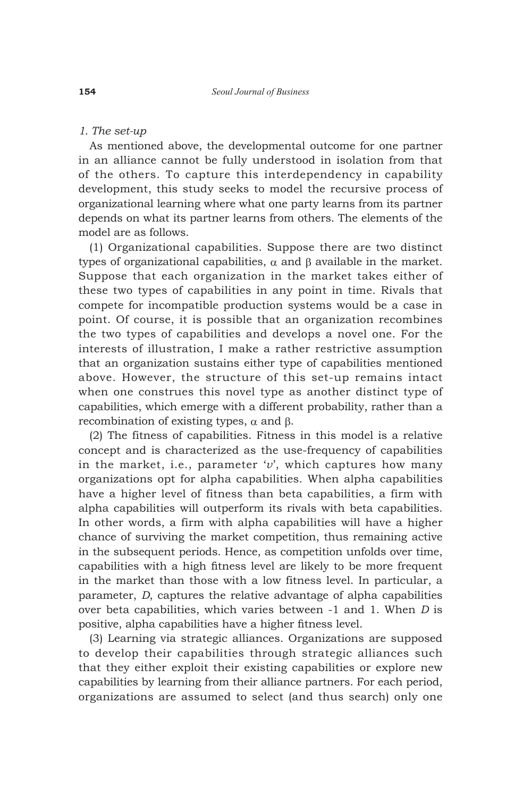## *1. The set-up*

As mentioned above, the developmental outcome for one partner in an alliance cannot be fully understood in isolation from that of the others. To capture this interdependency in capability development, this study seeks to model the recursive process of organizational learning where what one party learns from its partner depends on what its partner learns from others. The elements of the model are as follows.

(1) Organizational capabilities. Suppose there are two distinct types of organizational capabilities,  $\alpha$  and  $\beta$  available in the market. Suppose that each organization in the market takes either of these two types of capabilities in any point in time. Rivals that compete for incompatible production systems would be a case in point. Of course, it is possible that an organization recombines the two types of capabilities and develops a novel one. For the interests of illustration, I make a rather restrictive assumption that an organization sustains either type of capabilities mentioned above. However, the structure of this set-up remains intact when one construes this novel type as another distinct type of capabilities, which emerge with a different probability, rather than a recombination of existing types,  $\alpha$  and  $\beta$ .

(2) The fitness of capabilities. Fitness in this model is a relative concept and is characterized as the use-frequency of capabilities in the market, i.e., parameter '*v*', which captures how many organizations opt for alpha capabilities. When alpha capabilities have a higher level of fitness than beta capabilities, a firm with alpha capabilities will outperform its rivals with beta capabilities. In other words, a firm with alpha capabilities will have a higher chance of surviving the market competition, thus remaining active in the subsequent periods. Hence, as competition unfolds over time, capabilities with a high fitness level are likely to be more frequent in the market than those with a low fitness level. In particular, a parameter, *D*, captures the relative advantage of alpha capabilities over beta capabilities, which varies between -1 and 1. When *D* is positive, alpha capabilities have a higher fitness level.

(3) Learning via strategic alliances. Organizations are supposed to develop their capabilities through strategic alliances such that they either exploit their existing capabilities or explore new capabilities by learning from their alliance partners. For each period, organizations are assumed to select (and thus search) only one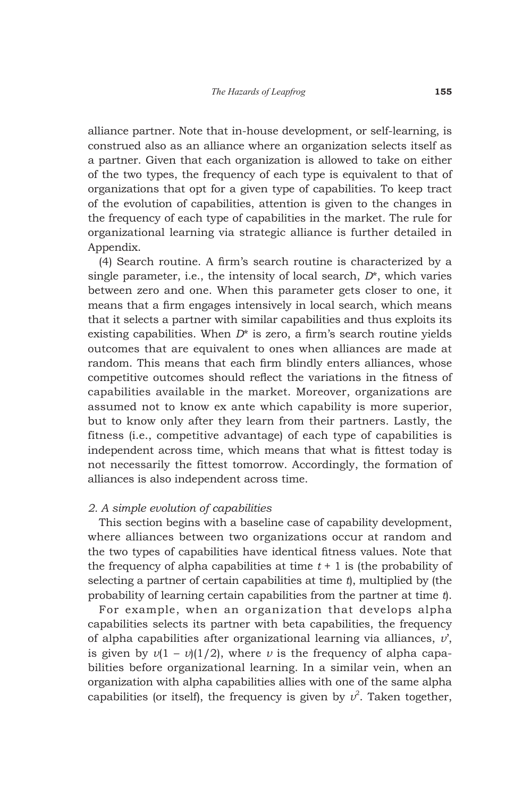alliance partner. Note that in-house development, or self-learning, is construed also as an alliance where an organization selects itself as a partner. Given that each organization is allowed to take on either of the two types, the frequency of each type is equivalent to that of organizations that opt for a given type of capabilities. To keep tract of the evolution of capabilities, attention is given to the changes in the frequency of each type of capabilities in the market. The rule for organizational learning via strategic alliance is further detailed in Appendix.

(4) Search routine. A firm's search routine is characterized by a single parameter, i.e., the intensity of local search, *D*\*, which varies between zero and one. When this parameter gets closer to one, it means that a firm engages intensively in local search, which means that it selects a partner with similar capabilities and thus exploits its existing capabilities. When *D*\* is zero, a firm's search routine yields outcomes that are equivalent to ones when alliances are made at random. This means that each firm blindly enters alliances, whose competitive outcomes should reflect the variations in the fitness of capabilities available in the market. Moreover, organizations are assumed not to know ex ante which capability is more superior, but to know only after they learn from their partners. Lastly, the fitness (i.e., competitive advantage) of each type of capabilities is independent across time, which means that what is fittest today is not necessarily the fittest tomorrow. Accordingly, the formation of alliances is also independent across time.

## *2. A simple evolution of capabilities*

This section begins with a baseline case of capability development, where alliances between two organizations occur at random and the two types of capabilities have identical fitness values. Note that the frequency of alpha capabilities at time  $t + 1$  is (the probability of selecting a partner of certain capabilities at time *t*), multiplied by (the probability of learning certain capabilities from the partner at time *t*).

For example, when an organization that develops alpha capabilities selects its partner with beta capabilities, the frequency of alpha capabilities after organizational learning via alliances, *v*', is given by  $v(1 - v)(1/2)$ , where *v* is the frequency of alpha capabilities before organizational learning. In a similar vein, when an organization with alpha capabilities allies with one of the same alpha capabilities (or itself), the frequency is given by  $v^2$ . Taken together,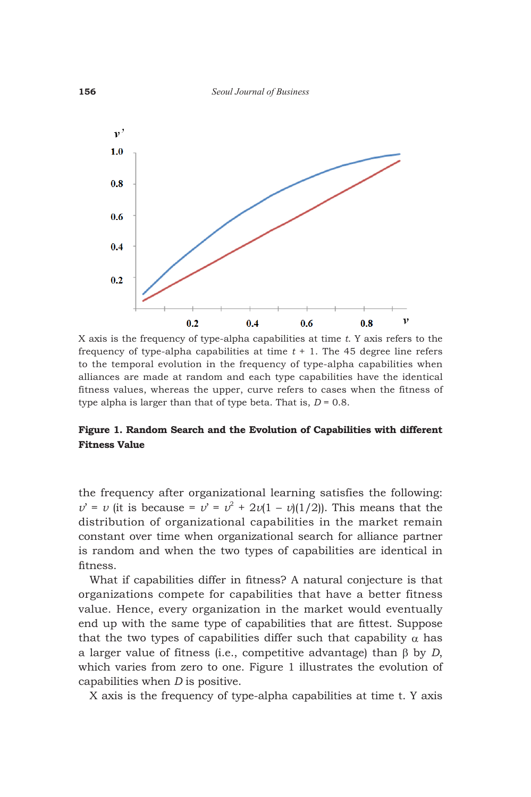

X axis is the frequency of type-alpha capabilities at time *t*. Y axis refers to the frequency of type-alpha capabilities at time *t* + 1. The 45 degree line refers to the temporal evolution in the frequency of type-alpha capabilities when alliances are made at random and each type capabilities have the identical fitness values, whereas the upper, curve refers to cases when the fitness of type alpha is larger than that of type beta. That is,  $D = 0.8$ .

## **Figure 1. Random Search and the Evolution of Capabilities with different Fitness Value**

the frequency after organizational learning satisfies the following:  $v' = v$  (it is because =  $v' = v^2 + 2v(1 - v)(1/2)$ ). This means that the distribution of organizational capabilities in the market remain constant over time when organizational search for alliance partner is random and when the two types of capabilities are identical in fitness.

What if capabilities differ in fitness? A natural conjecture is that organizations compete for capabilities that have a better fitness value. Hence, every organization in the market would eventually end up with the same type of capabilities that are fittest. Suppose that the two types of capabilities differ such that capability  $\alpha$  has a larger value of fitness (i.e., competitive advantage) than  $\beta$  by *D*, which varies from zero to one. Figure 1 illustrates the evolution of capabilities when *D* is positive.

X axis is the frequency of type-alpha capabilities at time t. Y axis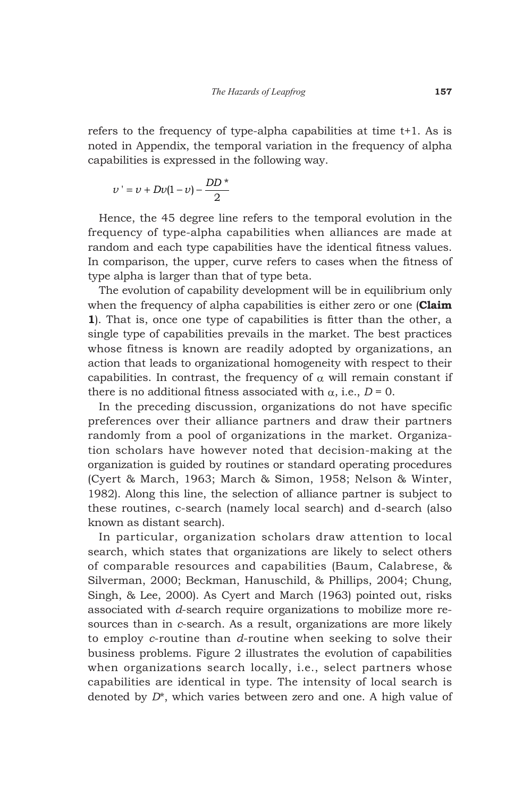refers to the frequency of type-alpha capabilities at time t+1. As is noted in Appendix, the temporal variation in the frequency of alpha capabilities is expressed in the following way.

$$
\nu' = \nu + D\nu(1-\nu) - \frac{DD^*}{2}
$$

Hence, the 45 degree line refers to the temporal evolution in the frequency of type-alpha capabilities when alliances are made at random and each type capabilities have the identical fitness values. In comparison, the upper, curve refers to cases when the fitness of type alpha is larger than that of type beta.

The evolution of capability development will be in equilibrium only when the frequency of alpha capabilities is either zero or one (**Claim 1**). That is, once one type of capabilities is fitter than the other, a single type of capabilities prevails in the market. The best practices whose fitness is known are readily adopted by organizations, an action that leads to organizational homogeneity with respect to their capabilities. In contrast, the frequency of  $\alpha$  will remain constant if there is no additional fitness associated with  $\alpha$ , i.e.,  $D = 0$ .

In the preceding discussion, organizations do not have specific preferences over their alliance partners and draw their partners randomly from a pool of organizations in the market. Organization scholars have however noted that decision-making at the organization is guided by routines or standard operating procedures (Cyert & March, 1963; March & Simon, 1958; Nelson & Winter, 1982). Along this line, the selection of alliance partner is subject to these routines, c-search (namely local search) and d-search (also known as distant search).

In particular, organization scholars draw attention to local search, which states that organizations are likely to select others of comparable resources and capabilities (Baum, Calabrese, & Silverman, 2000; Beckman, Hanuschild, & Phillips, 2004; Chung, Singh, & Lee, 2000). As Cyert and March (1963) pointed out, risks associated with *d*-search require organizations to mobilize more resources than in *c*-search. As a result, organizations are more likely to employ *c*-routine than *d*-routine when seeking to solve their business problems. Figure 2 illustrates the evolution of capabilities when organizations search locally, i.e., select partners whose capabilities are identical in type. The intensity of local search is denoted by *D*\*, which varies between zero and one. A high value of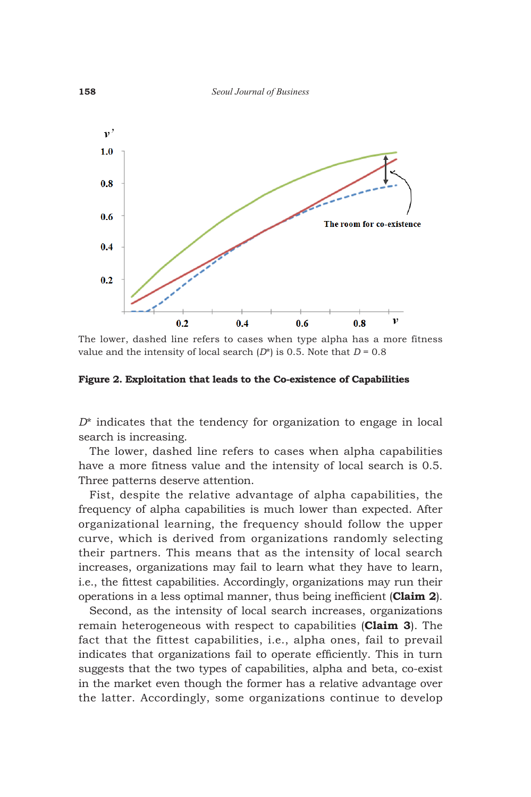

The lower, dashed line refers to cases when type alpha has a more fitness value and the intensity of local search  $(D^*)$  is 0.5. Note that  $D = 0.8$ 

**Figure 2. Exploitation that leads to the Co-existence of Capabilities**

*D*\* indicates that the tendency for organization to engage in local search is increasing.

The lower, dashed line refers to cases when alpha capabilities have a more fitness value and the intensity of local search is 0.5. Three patterns deserve attention.

Fist, despite the relative advantage of alpha capabilities, the frequency of alpha capabilities is much lower than expected. After organizational learning, the frequency should follow the upper curve, which is derived from organizations randomly selecting their partners. This means that as the intensity of local search increases, organizations may fail to learn what they have to learn, i.e., the fittest capabilities. Accordingly, organizations may run their operations in a less optimal manner, thus being inefficient (**Claim 2**).

Second, as the intensity of local search increases, organizations remain heterogeneous with respect to capabilities (**Claim 3**). The fact that the fittest capabilities, i.e., alpha ones, fail to prevail indicates that organizations fail to operate efficiently. This in turn suggests that the two types of capabilities, alpha and beta, co-exist in the market even though the former has a relative advantage over the latter. Accordingly, some organizations continue to develop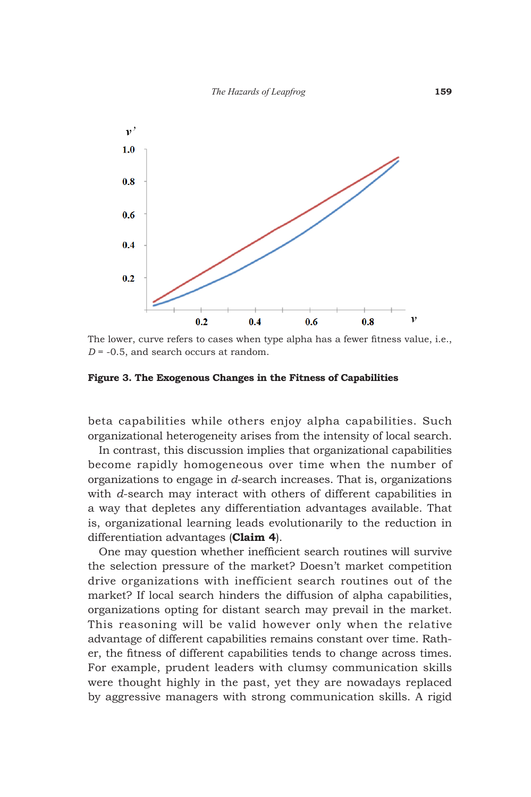

The lower, curve refers to cases when type alpha has a fewer fitness value, i.e., *D* = -0.5, and search occurs at random.

**Figure 3. The Exogenous Changes in the Fitness of Capabilities**

beta capabilities while others enjoy alpha capabilities. Such organizational heterogeneity arises from the intensity of local search.

In contrast, this discussion implies that organizational capabilities become rapidly homogeneous over time when the number of organizations to engage in *d*-search increases. That is, organizations with *d*-search may interact with others of different capabilities in a way that depletes any differentiation advantages available. That is, organizational learning leads evolutionarily to the reduction in differentiation advantages (**Claim 4**).

One may question whether inefficient search routines will survive the selection pressure of the market? Doesn't market competition drive organizations with inefficient search routines out of the market? If local search hinders the diffusion of alpha capabilities, organizations opting for distant search may prevail in the market. This reasoning will be valid however only when the relative advantage of different capabilities remains constant over time. Rather, the fitness of different capabilities tends to change across times. For example, prudent leaders with clumsy communication skills were thought highly in the past, yet they are nowadays replaced by aggressive managers with strong communication skills. A rigid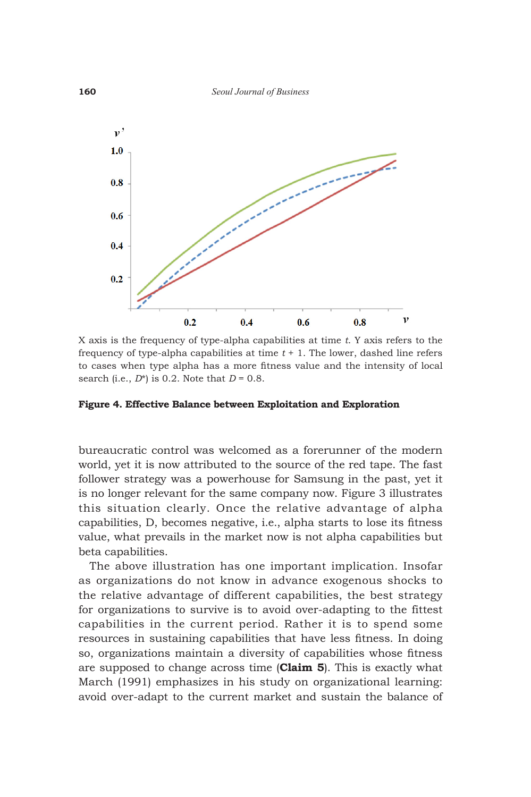

X axis is the frequency of type-alpha capabilities at time *t*. Y axis refers to the frequency of type-alpha capabilities at time *t* + 1. The lower, dashed line refers to cases when type alpha has a more fitness value and the intensity of local search (i.e., *D*\*) is 0.2. Note that *D* = 0.8.

#### **Figure 4. Effective Balance between Exploitation and Exploration**

bureaucratic control was welcomed as a forerunner of the modern world, yet it is now attributed to the source of the red tape. The fast follower strategy was a powerhouse for Samsung in the past, yet it is no longer relevant for the same company now. Figure 3 illustrates this situation clearly. Once the relative advantage of alpha capabilities, D, becomes negative, i.e., alpha starts to lose its fitness value, what prevails in the market now is not alpha capabilities but beta capabilities.

The above illustration has one important implication. Insofar as organizations do not know in advance exogenous shocks to the relative advantage of different capabilities, the best strategy for organizations to survive is to avoid over-adapting to the fittest capabilities in the current period. Rather it is to spend some resources in sustaining capabilities that have less fitness. In doing so, organizations maintain a diversity of capabilities whose fitness are supposed to change across time (**Claim 5**). This is exactly what March (1991) emphasizes in his study on organizational learning: avoid over-adapt to the current market and sustain the balance of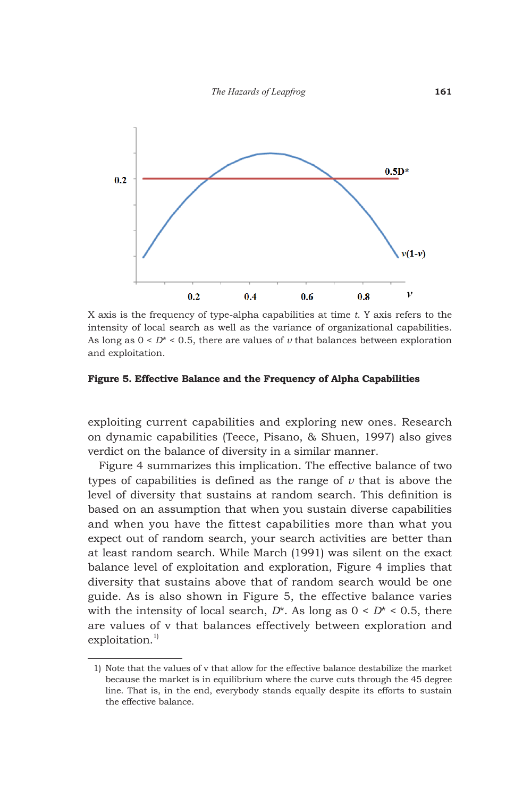

X axis is the frequency of type-alpha capabilities at time *t*. Y axis refers to the intensity of local search as well as the variance of organizational capabilities. As long as  $0 < D^* < 0.5$ , there are values of  $\nu$  that balances between exploration and exploitation.

#### **Figure 5. Effective Balance and the Frequency of Alpha Capabilities**

exploiting current capabilities and exploring new ones. Research on dynamic capabilities (Teece, Pisano, & Shuen, 1997) also gives verdict on the balance of diversity in a similar manner.

Figure 4 summarizes this implication. The effective balance of two types of capabilities is defined as the range of *v* that is above the level of diversity that sustains at random search. This definition is based on an assumption that when you sustain diverse capabilities and when you have the fittest capabilities more than what you expect out of random search, your search activities are better than at least random search. While March (1991) was silent on the exact balance level of exploitation and exploration, Figure 4 implies that diversity that sustains above that of random search would be one guide. As is also shown in Figure 5, the effective balance varies with the intensity of local search,  $D^*$ . As long as  $0 \leq D^* \leq 0.5$ , there are values of v that balances effectively between exploration and  $exploitation.<sup>1</sup>$ 

 <sup>1)</sup> Note that the values of v that allow for the effective balance destabilize the market because the market is in equilibrium where the curve cuts through the 45 degree line. That is, in the end, everybody stands equally despite its efforts to sustain the effective balance.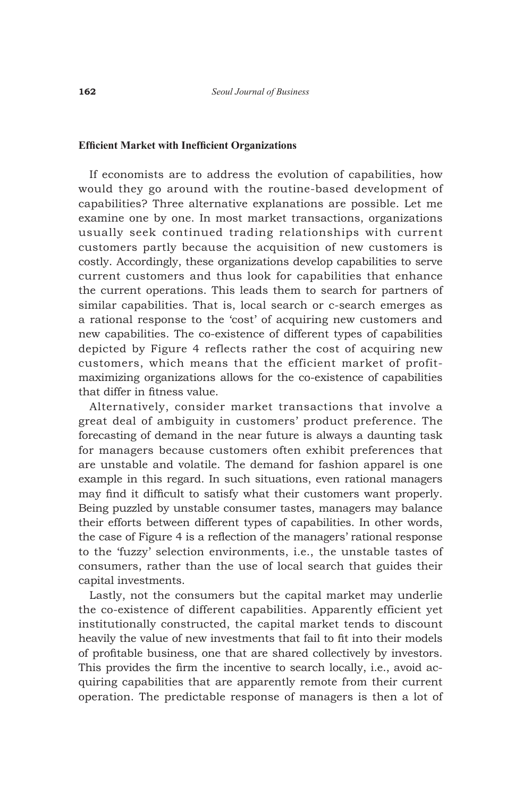#### **Efficient Market with Inefficient Organizations**

If economists are to address the evolution of capabilities, how would they go around with the routine-based development of capabilities? Three alternative explanations are possible. Let me examine one by one. In most market transactions, organizations usually seek continued trading relationships with current customers partly because the acquisition of new customers is costly. Accordingly, these organizations develop capabilities to serve current customers and thus look for capabilities that enhance the current operations. This leads them to search for partners of similar capabilities. That is, local search or c-search emerges as a rational response to the 'cost' of acquiring new customers and new capabilities. The co-existence of different types of capabilities depicted by Figure 4 reflects rather the cost of acquiring new customers, which means that the efficient market of profitmaximizing organizations allows for the co-existence of capabilities that differ in fitness value.

Alternatively, consider market transactions that involve a great deal of ambiguity in customers' product preference. The forecasting of demand in the near future is always a daunting task for managers because customers often exhibit preferences that are unstable and volatile. The demand for fashion apparel is one example in this regard. In such situations, even rational managers may find it difficult to satisfy what their customers want properly. Being puzzled by unstable consumer tastes, managers may balance their efforts between different types of capabilities. In other words, the case of Figure 4 is a reflection of the managers' rational response to the 'fuzzy' selection environments, i.e., the unstable tastes of consumers, rather than the use of local search that guides their capital investments.

Lastly, not the consumers but the capital market may underlie the co-existence of different capabilities. Apparently efficient yet institutionally constructed, the capital market tends to discount heavily the value of new investments that fail to fit into their models of profitable business, one that are shared collectively by investors. This provides the firm the incentive to search locally, i.e., avoid acquiring capabilities that are apparently remote from their current operation. The predictable response of managers is then a lot of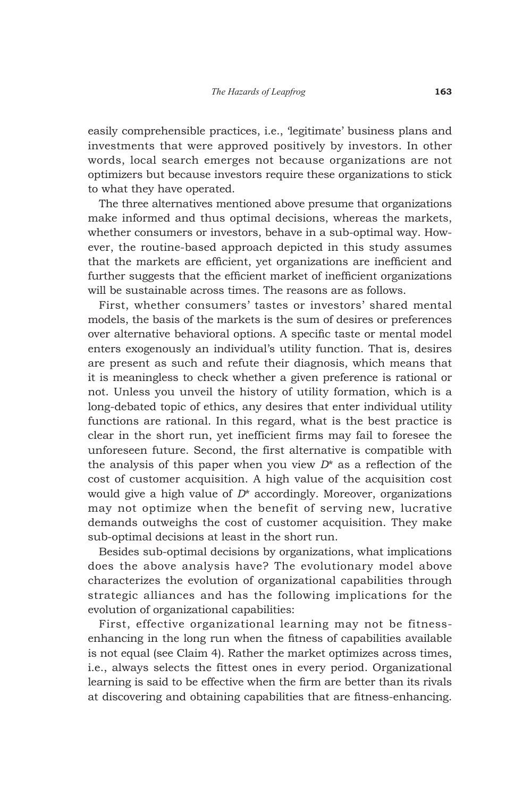easily comprehensible practices, i.e., 'legitimate' business plans and investments that were approved positively by investors. In other words, local search emerges not because organizations are not optimizers but because investors require these organizations to stick to what they have operated.

The three alternatives mentioned above presume that organizations make informed and thus optimal decisions, whereas the markets, whether consumers or investors, behave in a sub-optimal way. However, the routine-based approach depicted in this study assumes that the markets are efficient, yet organizations are inefficient and further suggests that the efficient market of inefficient organizations will be sustainable across times. The reasons are as follows.

First, whether consumers' tastes or investors' shared mental models, the basis of the markets is the sum of desires or preferences over alternative behavioral options. A specific taste or mental model enters exogenously an individual's utility function. That is, desires are present as such and refute their diagnosis, which means that it is meaningless to check whether a given preference is rational or not. Unless you unveil the history of utility formation, which is a long-debated topic of ethics, any desires that enter individual utility functions are rational. In this regard, what is the best practice is clear in the short run, yet inefficient firms may fail to foresee the unforeseen future. Second, the first alternative is compatible with the analysis of this paper when you view *D*\* as a reflection of the cost of customer acquisition. A high value of the acquisition cost would give a high value of *D*\* accordingly. Moreover, organizations may not optimize when the benefit of serving new, lucrative demands outweighs the cost of customer acquisition. They make sub-optimal decisions at least in the short run.

Besides sub-optimal decisions by organizations, what implications does the above analysis have? The evolutionary model above characterizes the evolution of organizational capabilities through strategic alliances and has the following implications for the evolution of organizational capabilities:

First, effective organizational learning may not be fitnessenhancing in the long run when the fitness of capabilities available is not equal (see Claim 4). Rather the market optimizes across times, i.e., always selects the fittest ones in every period. Organizational learning is said to be effective when the firm are better than its rivals at discovering and obtaining capabilities that are fitness-enhancing.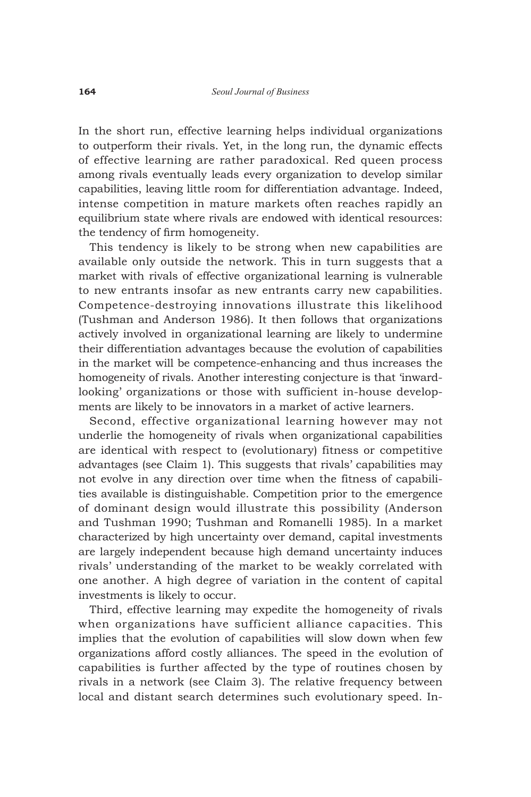In the short run, effective learning helps individual organizations to outperform their rivals. Yet, in the long run, the dynamic effects of effective learning are rather paradoxical. Red queen process among rivals eventually leads every organization to develop similar capabilities, leaving little room for differentiation advantage. Indeed, intense competition in mature markets often reaches rapidly an equilibrium state where rivals are endowed with identical resources: the tendency of firm homogeneity.

This tendency is likely to be strong when new capabilities are available only outside the network. This in turn suggests that a market with rivals of effective organizational learning is vulnerable to new entrants insofar as new entrants carry new capabilities. Competence-destroying innovations illustrate this likelihood (Tushman and Anderson 1986). It then follows that organizations actively involved in organizational learning are likely to undermine their differentiation advantages because the evolution of capabilities in the market will be competence-enhancing and thus increases the homogeneity of rivals. Another interesting conjecture is that 'inwardlooking' organizations or those with sufficient in-house developments are likely to be innovators in a market of active learners.

Second, effective organizational learning however may not underlie the homogeneity of rivals when organizational capabilities are identical with respect to (evolutionary) fitness or competitive advantages (see Claim 1). This suggests that rivals' capabilities may not evolve in any direction over time when the fitness of capabilities available is distinguishable. Competition prior to the emergence of dominant design would illustrate this possibility (Anderson and Tushman 1990; Tushman and Romanelli 1985). In a market characterized by high uncertainty over demand, capital investments are largely independent because high demand uncertainty induces rivals' understanding of the market to be weakly correlated with one another. A high degree of variation in the content of capital investments is likely to occur.

Third, effective learning may expedite the homogeneity of rivals when organizations have sufficient alliance capacities. This implies that the evolution of capabilities will slow down when few organizations afford costly alliances. The speed in the evolution of capabilities is further affected by the type of routines chosen by rivals in a network (see Claim 3). The relative frequency between local and distant search determines such evolutionary speed. In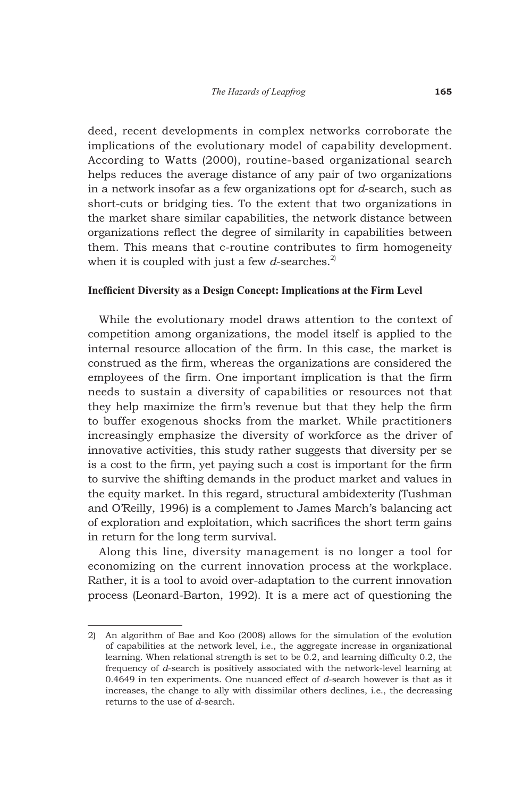deed, recent developments in complex networks corroborate the implications of the evolutionary model of capability development. According to Watts (2000), routine-based organizational search helps reduces the average distance of any pair of two organizations in a network insofar as a few organizations opt for *d*-search, such as short-cuts or bridging ties. To the extent that two organizations in the market share similar capabilities, the network distance between organizations reflect the degree of similarity in capabilities between them. This means that c-routine contributes to firm homogeneity when it is coupled with just a few  $d$ -searches.<sup>2)</sup>

#### **Inefficient Diversity as a Design Concept: Implications at the Firm Level**

While the evolutionary model draws attention to the context of competition among organizations, the model itself is applied to the internal resource allocation of the firm. In this case, the market is construed as the firm, whereas the organizations are considered the employees of the firm. One important implication is that the firm needs to sustain a diversity of capabilities or resources not that they help maximize the firm's revenue but that they help the firm to buffer exogenous shocks from the market. While practitioners increasingly emphasize the diversity of workforce as the driver of innovative activities, this study rather suggests that diversity per se is a cost to the firm, yet paying such a cost is important for the firm to survive the shifting demands in the product market and values in the equity market. In this regard, structural ambidexterity (Tushman and O'Reilly, 1996) is a complement to James March's balancing act of exploration and exploitation, which sacrifices the short term gains in return for the long term survival.

Along this line, diversity management is no longer a tool for economizing on the current innovation process at the workplace. Rather, it is a tool to avoid over-adaptation to the current innovation process (Leonard-Barton, 1992). It is a mere act of questioning the

<sup>2)</sup> An algorithm of Bae and Koo (2008) allows for the simulation of the evolution of capabilities at the network level, i.e., the aggregate increase in organizational learning. When relational strength is set to be 0.2, and learning difficulty 0.2, the frequency of *d*-search is positively associated with the network-level learning at 0.4649 in ten experiments. One nuanced effect of *d*-search however is that as it increases, the change to ally with dissimilar others declines, i.e., the decreasing returns to the use of *d*-search.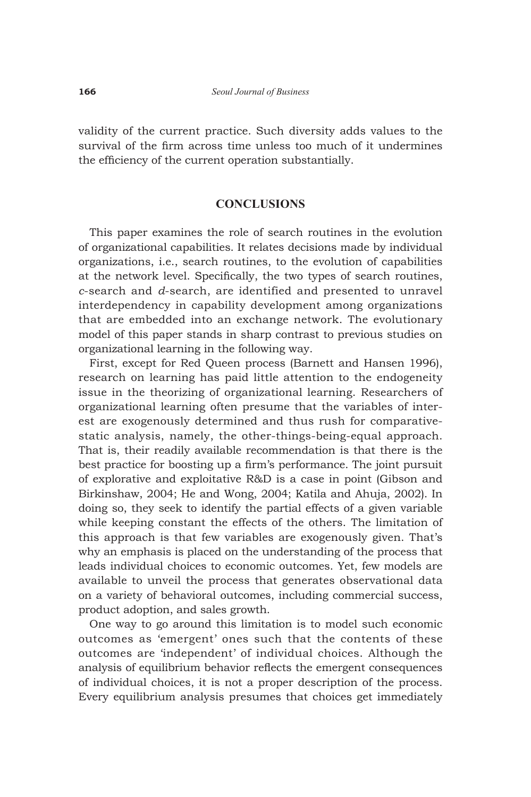validity of the current practice. Such diversity adds values to the survival of the firm across time unless too much of it undermines the efficiency of the current operation substantially.

## **CONCLUSIONS**

This paper examines the role of search routines in the evolution of organizational capabilities. It relates decisions made by individual organizations, i.e., search routines, to the evolution of capabilities at the network level. Specifically, the two types of search routines, *c*-search and *d*-search, are identified and presented to unravel interdependency in capability development among organizations that are embedded into an exchange network. The evolutionary model of this paper stands in sharp contrast to previous studies on organizational learning in the following way.

First, except for Red Queen process (Barnett and Hansen 1996), research on learning has paid little attention to the endogeneity issue in the theorizing of organizational learning. Researchers of organizational learning often presume that the variables of interest are exogenously determined and thus rush for comparativestatic analysis, namely, the other-things-being-equal approach. That is, their readily available recommendation is that there is the best practice for boosting up a firm's performance. The joint pursuit of explorative and exploitative R&D is a case in point (Gibson and Birkinshaw, 2004; He and Wong, 2004; Katila and Ahuja, 2002). In doing so, they seek to identify the partial effects of a given variable while keeping constant the effects of the others. The limitation of this approach is that few variables are exogenously given. That's why an emphasis is placed on the understanding of the process that leads individual choices to economic outcomes. Yet, few models are available to unveil the process that generates observational data on a variety of behavioral outcomes, including commercial success, product adoption, and sales growth.

One way to go around this limitation is to model such economic outcomes as 'emergent' ones such that the contents of these outcomes are 'independent' of individual choices. Although the analysis of equilibrium behavior reflects the emergent consequences of individual choices, it is not a proper description of the process. Every equilibrium analysis presumes that choices get immediately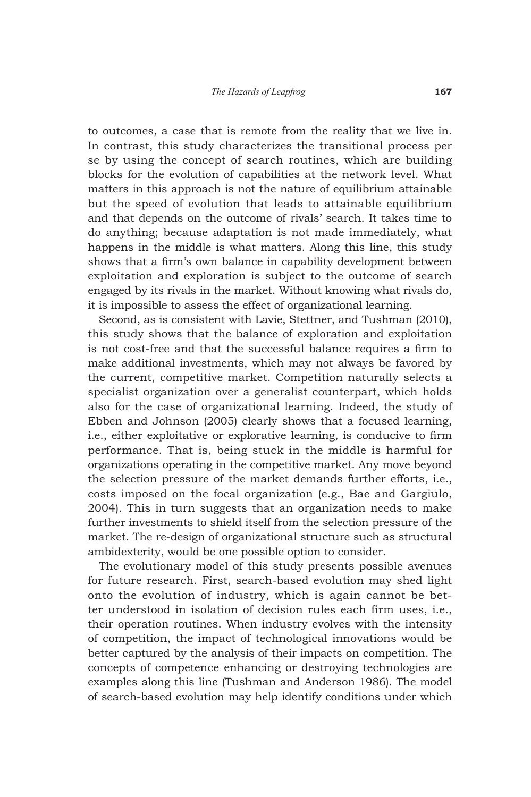to outcomes, a case that is remote from the reality that we live in. In contrast, this study characterizes the transitional process per se by using the concept of search routines, which are building blocks for the evolution of capabilities at the network level. What matters in this approach is not the nature of equilibrium attainable but the speed of evolution that leads to attainable equilibrium and that depends on the outcome of rivals' search. It takes time to do anything; because adaptation is not made immediately, what happens in the middle is what matters. Along this line, this study shows that a firm's own balance in capability development between exploitation and exploration is subject to the outcome of search engaged by its rivals in the market. Without knowing what rivals do, it is impossible to assess the effect of organizational learning.

Second, as is consistent with Lavie, Stettner, and Tushman (2010), this study shows that the balance of exploration and exploitation is not cost-free and that the successful balance requires a firm to make additional investments, which may not always be favored by the current, competitive market. Competition naturally selects a specialist organization over a generalist counterpart, which holds also for the case of organizational learning. Indeed, the study of Ebben and Johnson (2005) clearly shows that a focused learning, i.e., either exploitative or explorative learning, is conducive to firm performance. That is, being stuck in the middle is harmful for organizations operating in the competitive market. Any move beyond the selection pressure of the market demands further efforts, i.e., costs imposed on the focal organization (e.g., Bae and Gargiulo, 2004). This in turn suggests that an organization needs to make further investments to shield itself from the selection pressure of the market. The re-design of organizational structure such as structural ambidexterity, would be one possible option to consider.

The evolutionary model of this study presents possible avenues for future research. First, search-based evolution may shed light onto the evolution of industry, which is again cannot be better understood in isolation of decision rules each firm uses, i.e., their operation routines. When industry evolves with the intensity of competition, the impact of technological innovations would be better captured by the analysis of their impacts on competition. The concepts of competence enhancing or destroying technologies are examples along this line (Tushman and Anderson 1986). The model of search-based evolution may help identify conditions under which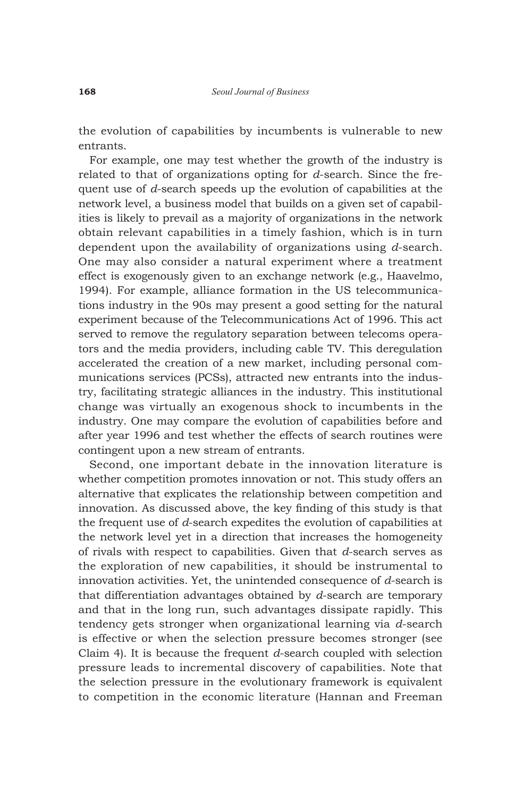the evolution of capabilities by incumbents is vulnerable to new entrants.

For example, one may test whether the growth of the industry is related to that of organizations opting for *d*-search. Since the frequent use of *d*-search speeds up the evolution of capabilities at the network level, a business model that builds on a given set of capabilities is likely to prevail as a majority of organizations in the network obtain relevant capabilities in a timely fashion, which is in turn dependent upon the availability of organizations using *d*-search. One may also consider a natural experiment where a treatment effect is exogenously given to an exchange network (e.g., Haavelmo, 1994). For example, alliance formation in the US telecommunications industry in the 90s may present a good setting for the natural experiment because of the Telecommunications Act of 1996. This act served to remove the regulatory separation between telecoms operators and the media providers, including cable TV. This deregulation accelerated the creation of a new market, including personal communications services (PCSs), attracted new entrants into the industry, facilitating strategic alliances in the industry. This institutional change was virtually an exogenous shock to incumbents in the industry. One may compare the evolution of capabilities before and after year 1996 and test whether the effects of search routines were contingent upon a new stream of entrants.

Second, one important debate in the innovation literature is whether competition promotes innovation or not. This study offers an alternative that explicates the relationship between competition and innovation. As discussed above, the key finding of this study is that the frequent use of *d*-search expedites the evolution of capabilities at the network level yet in a direction that increases the homogeneity of rivals with respect to capabilities. Given that *d*-search serves as the exploration of new capabilities, it should be instrumental to innovation activities. Yet, the unintended consequence of *d*-search is that differentiation advantages obtained by *d*-search are temporary and that in the long run, such advantages dissipate rapidly. This tendency gets stronger when organizational learning via *d*-search is effective or when the selection pressure becomes stronger (see Claim 4). It is because the frequent *d*-search coupled with selection pressure leads to incremental discovery of capabilities. Note that the selection pressure in the evolutionary framework is equivalent to competition in the economic literature (Hannan and Freeman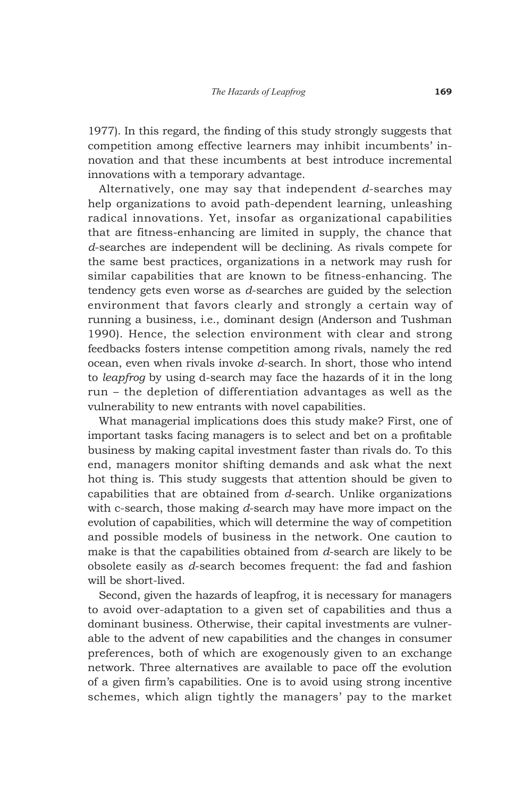1977). In this regard, the finding of this study strongly suggests that competition among effective learners may inhibit incumbents' innovation and that these incumbents at best introduce incremental innovations with a temporary advantage.

Alternatively, one may say that independent *d*-searches may help organizations to avoid path-dependent learning, unleashing radical innovations. Yet, insofar as organizational capabilities that are fitness-enhancing are limited in supply, the chance that *d*-searches are independent will be declining. As rivals compete for the same best practices, organizations in a network may rush for similar capabilities that are known to be fitness-enhancing. The tendency gets even worse as *d*-searches are guided by the selection environment that favors clearly and strongly a certain way of running a business, i.e., dominant design (Anderson and Tushman 1990). Hence, the selection environment with clear and strong feedbacks fosters intense competition among rivals, namely the red ocean, even when rivals invoke *d*-search. In short, those who intend to *leapfrog* by using d-search may face the hazards of it in the long run – the depletion of differentiation advantages as well as the vulnerability to new entrants with novel capabilities.

What managerial implications does this study make? First, one of important tasks facing managers is to select and bet on a profitable business by making capital investment faster than rivals do. To this end, managers monitor shifting demands and ask what the next hot thing is. This study suggests that attention should be given to capabilities that are obtained from *d*-search. Unlike organizations with c-search, those making *d*-search may have more impact on the evolution of capabilities, which will determine the way of competition and possible models of business in the network. One caution to make is that the capabilities obtained from *d*-search are likely to be obsolete easily as *d*-search becomes frequent: the fad and fashion will be short-lived.

Second, given the hazards of leapfrog, it is necessary for managers to avoid over-adaptation to a given set of capabilities and thus a dominant business. Otherwise, their capital investments are vulnerable to the advent of new capabilities and the changes in consumer preferences, both of which are exogenously given to an exchange network. Three alternatives are available to pace off the evolution of a given firm's capabilities. One is to avoid using strong incentive schemes, which align tightly the managers' pay to the market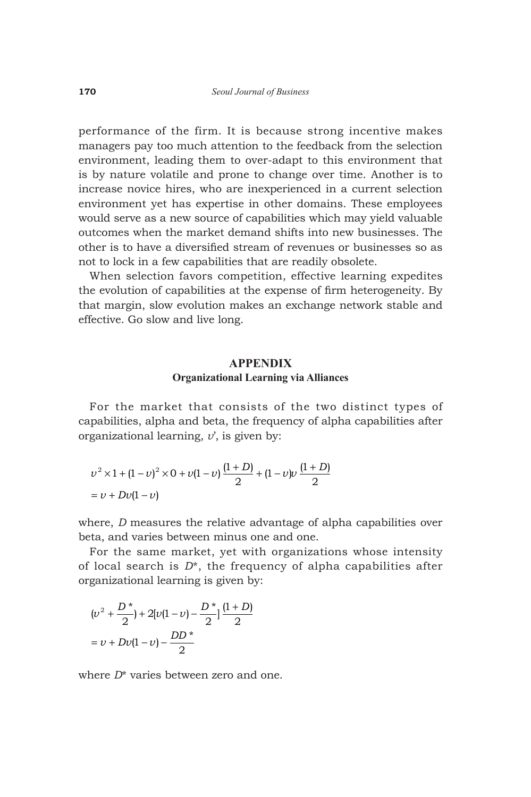performance of the firm. It is because strong incentive makes managers pay too much attention to the feedback from the selection environment, leading them to over-adapt to this environment that is by nature volatile and prone to change over time. Another is to increase novice hires, who are inexperienced in a current selection environment yet has expertise in other domains. These employees would serve as a new source of capabilities which may yield valuable outcomes when the market demand shifts into new businesses. The other is to have a diversified stream of revenues or businesses so as not to lock in a few capabilities that are readily obsolete.

When selection favors competition, effective learning expedites the evolution of capabilities at the expense of firm heterogeneity. By that margin, slow evolution makes an exchange network stable and effective. Go slow and live long.

## **APPENDIX Organizational Learning via Alliances**

For the market that consists of the two distinct types of capabilities, alpha and beta, the frequency of alpha capabilities after organizational learning, *v*', is given by:

$$
v^{2} \times 1 + (1 - v)^{2} \times 0 + v(1 - v)\frac{(1 + D)}{2} + (1 - v)v\frac{(1 + D)}{2}
$$
  
= v + Dv(1 - v)

where, *D* measures the relative advantage of alpha capabilities over beta, and varies between minus one and one.

For the same market, yet with organizations whose intensity of local search is *D*\*, the frequency of alpha capabilities after organizational learning is given by:

$$
(v^{2} + \frac{D^{*}}{2}) + 2[v(1 - v) - \frac{D^{*}}{2}] \frac{(1 + D)}{2}
$$

$$
= v + Dv(1 - v) - \frac{DD^{*}}{2}
$$

where *D*\* varies between zero and one.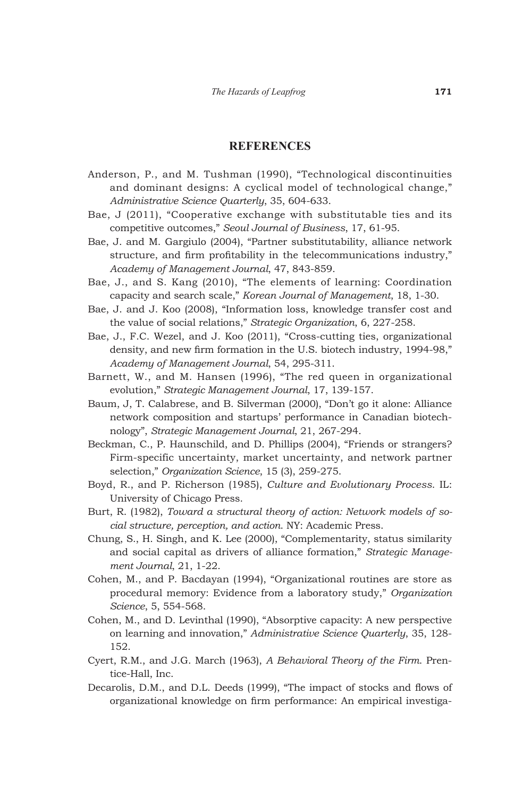#### **REFERENCES**

- Anderson, P., and M. Tushman (1990), "Technological discontinuities and dominant designs: A cyclical model of technological change," *Administrative Science Quarterly*, 35, 604-633.
- Bae, J (2011), "Cooperative exchange with substitutable ties and its competitive outcomes," *Seoul Journal of Business*, 17, 61-95.
- Bae, J. and M. Gargiulo (2004), "Partner substitutability, alliance network structure, and firm profitability in the telecommunications industry," *Academy of Management Journal*, 47, 843-859.
- Bae, J., and S. Kang (2010), "The elements of learning: Coordination capacity and search scale," *Korean Journal of Management*, 18, 1-30.
- Bae, J. and J. Koo (2008), "Information loss, knowledge transfer cost and the value of social relations," *Strategic Organization*, 6, 227-258.
- Bae, J., F.C. Wezel, and J. Koo (2011), "Cross-cutting ties, organizational density, and new firm formation in the U.S. biotech industry, 1994-98," *Academy of Management Journal*, 54, 295-311.
- Barnett, W., and M. Hansen (1996), "The red queen in organizational evolution," *Strategic Management Journal*, 17, 139-157.
- Baum, J, T. Calabrese, and B. Silverman (2000), "Don't go it alone: Alliance network composition and startups' performance in Canadian biotechnology", *Strategic Management Journal*, 21, 267-294.
- Beckman, C., P. Haunschild, and D. Phillips (2004), "Friends or strangers? Firm-specific uncertainty, market uncertainty, and network partner selection," *Organization Science*, 15 (3), 259-275.
- Boyd, R., and P. Richerson (1985), *Culture and Evolutionary Process*. IL: University of Chicago Press.
- Burt, R. (1982), *Toward a structural theory of action: Network models of social structure, perception, and action*. NY: Academic Press.
- Chung, S., H. Singh, and K. Lee (2000), "Complementarity, status similarity and social capital as drivers of alliance formation," *Strategic Management Journal*, 21, 1-22.
- Cohen, M., and P. Bacdayan (1994), "Organizational routines are store as procedural memory: Evidence from a laboratory study," *Organization Science*, 5, 554-568.
- Cohen, M., and D. Levinthal (1990), "Absorptive capacity: A new perspective on learning and innovation," *Administrative Science Quarterly*, 35, 128- 152.
- Cyert, R.M., and J.G. March (1963), *A Behavioral Theory of the Firm*. Prentice-Hall, Inc.
- Decarolis, D.M., and D.L. Deeds (1999), "The impact of stocks and flows of organizational knowledge on firm performance: An empirical investiga-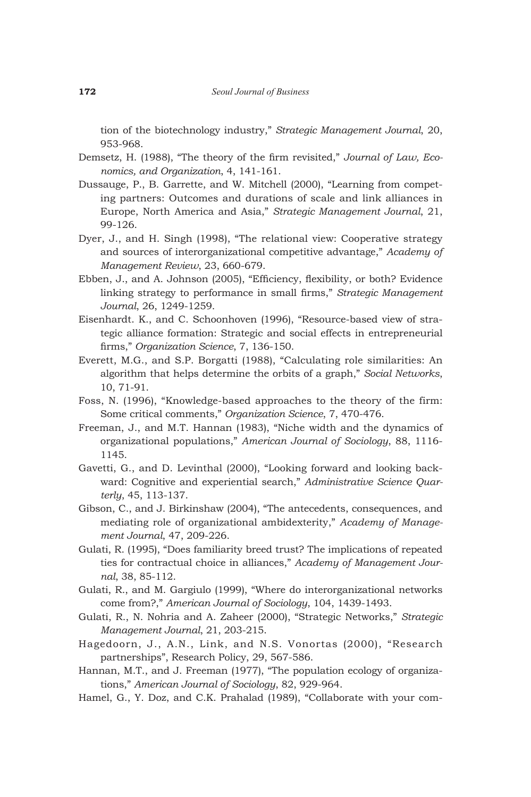tion of the biotechnology industry," *Strategic Management Journal*, 20, 953-968.

- Demsetz, H. (1988), "The theory of the firm revisited," *Journal of Law, Economics, and Organization*, 4, 141-161.
- Dussauge, P., B. Garrette, and W. Mitchell (2000), "Learning from competing partners: Outcomes and durations of scale and link alliances in Europe, North America and Asia," *Strategic Management Journal*, 21, 99-126.
- Dyer, J., and H. Singh (1998), "The relational view: Cooperative strategy and sources of interorganizational competitive advantage," *Academy of Management Review*, 23, 660-679.
- Ebben, J., and A. Johnson (2005), "Efficiency, flexibility, or both? Evidence linking strategy to performance in small firms," *Strategic Management Journal*, 26, 1249-1259.
- Eisenhardt. K., and C. Schoonhoven (1996), "Resource-based view of strategic alliance formation: Strategic and social effects in entrepreneurial firms," *Organization Science*, 7, 136-150.
- Everett, M.G., and S.P. Borgatti (1988), "Calculating role similarities: An algorithm that helps determine the orbits of a graph," *Social Networks*, 10, 71-91.
- Foss, N. (1996), "Knowledge-based approaches to the theory of the firm: Some critical comments," *Organization Science*, 7, 470-476.
- Freeman, J., and M.T. Hannan (1983), "Niche width and the dynamics of organizational populations," *American Journal of Sociology*, 88, 1116- 1145.
- Gavetti, G., and D. Levinthal (2000), "Looking forward and looking backward: Cognitive and experiential search," *Administrative Science Quarterly*, 45, 113-137.
- Gibson, C., and J. Birkinshaw (2004), "The antecedents, consequences, and mediating role of organizational ambidexterity," *Academy of Management Journal*, 47, 209-226.
- Gulati, R. (1995), "Does familiarity breed trust? The implications of repeated ties for contractual choice in alliances," *Academy of Management Journal*, 38, 85-112.
- Gulati, R., and M. Gargiulo (1999), "Where do interorganizational networks come from?," *American Journal of Sociology*, 104, 1439-1493.
- Gulati, R., N. Nohria and A. Zaheer (2000), "Strategic Networks," *Strategic Management Journal*, 21, 203-215.
- Hagedoorn, J., A.N., Link, and N.S. Vonortas (2000), "Research partnerships", Research Policy, 29, 567-586.
- Hannan, M.T., and J. Freeman (1977), "The population ecology of organizations," *American Journal of Sociology*, 82, 929-964.
- Hamel, G., Y. Doz, and C.K. Prahalad (1989), "Collaborate with your com-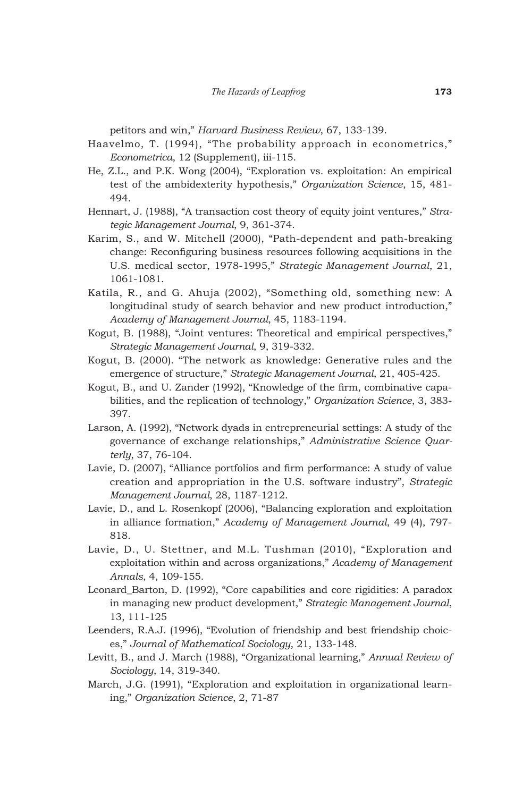petitors and win," *Harvard Business Review*, 67, 133-139.

- Haavelmo, T. (1994), "The probability approach in econometrics," *Econometrica*, 12 (Supplement), iii-115.
- He, Z.L., and P.K. Wong (2004), "Exploration vs. exploitation: An empirical test of the ambidexterity hypothesis," *Organization Science*, 15, 481- 494.
- Hennart, J. (1988), "A transaction cost theory of equity joint ventures," *Strategic Management Journal*, 9, 361-374.
- Karim, S., and W. Mitchell (2000), "Path-dependent and path-breaking change: Reconfiguring business resources following acquisitions in the U.S. medical sector, 1978-1995," *Strategic Management Journal*, 21, 1061-1081.
- Katila, R., and G. Ahuja (2002), "Something old, something new: A longitudinal study of search behavior and new product introduction," *Academy of Management Journal*, 45, 1183-1194.
- Kogut, B. (1988), "Joint ventures: Theoretical and empirical perspectives," *Strategic Management Journal*, 9, 319-332.
- Kogut, B. (2000). "The network as knowledge: Generative rules and the emergence of structure," *Strategic Management Journal*, 21, 405-425.
- Kogut, B., and U. Zander (1992), "Knowledge of the firm, combinative capabilities, and the replication of technology," *Organization Science*, 3, 383- 397.
- Larson, A. (1992), "Network dyads in entrepreneurial settings: A study of the governance of exchange relationships," *Administrative Science Quarterly*, 37, 76-104.
- Lavie, D. (2007), "Alliance portfolios and firm performance: A study of value creation and appropriation in the U.S. software industry", *Strategic Management Journal*, 28, 1187-1212.
- Lavie, D., and L. Rosenkopf (2006), "Balancing exploration and exploitation in alliance formation," *Academy of Management Journal*, 49 (4), 797- 818.
- Lavie, D., U. Stettner, and M.L. Tushman (2010), "Exploration and exploitation within and across organizations," *Academy of Management Annals*, 4, 109-155.
- Leonard\_Barton, D. (1992), "Core capabilities and core rigidities: A paradox in managing new product development," *Strategic Management Journal*, 13, 111-125
- Leenders, R.A.J. (1996), "Evolution of friendship and best friendship choices," *Journal of Mathematical Sociology*, 21, 133-148.
- Levitt, B., and J. March (1988), "Organizational learning," *Annual Review of Sociology*, 14, 319-340.
- March, J.G. (1991), "Exploration and exploitation in organizational learning," *Organization Science*, 2, 71-87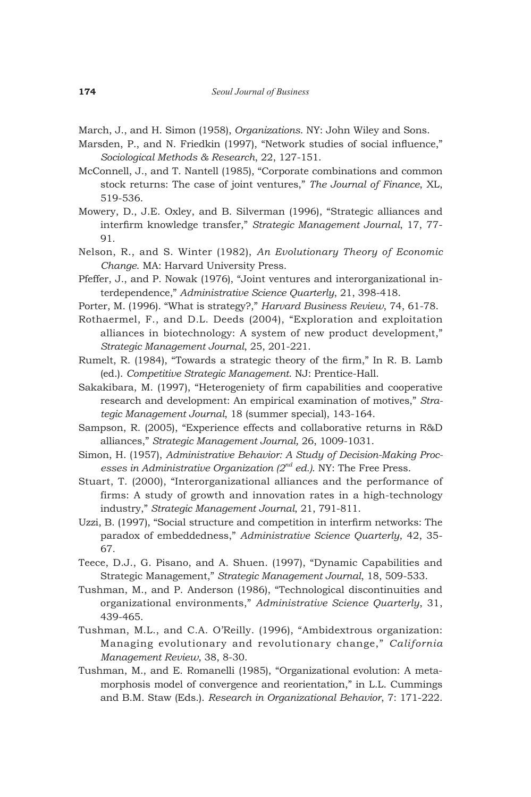March, J., and H. Simon (1958), *Organizations*. NY: John Wiley and Sons.

- Marsden, P., and N. Friedkin (1997), "Network studies of social influence," *Sociological Methods & Research*, 22, 127-151.
- McConnell, J., and T. Nantell (1985), "Corporate combinations and common stock returns: The case of joint ventures," *The Journal of Finance*, XL, 519-536.
- Mowery, D., J.E. Oxley, and B. Silverman (1996), "Strategic alliances and interfirm knowledge transfer," *Strategic Management Journal*, 17, 77- 91.
- Nelson, R., and S. Winter (1982), *An Evolutionary Theory of Economic Change*. MA: Harvard University Press.
- Pfeffer, J., and P. Nowak (1976), "Joint ventures and interorganizational interdependence," *Administrative Science Quarterly*, 21, 398-418.
- Porter, M. (1996). "What is strategy?," *Harvard Business Review*, 74, 61-78.
- Rothaermel, F., and D.L. Deeds (2004), "Exploration and exploitation alliances in biotechnology: A system of new product development," *Strategic Management Journal*, 25, 201-221.
- Rumelt, R. (1984), "Towards a strategic theory of the firm," In R. B. Lamb (ed.). *Competitive Strategic Management*. NJ: Prentice-Hall.
- Sakakibara, M. (1997), "Heterogeniety of firm capabilities and cooperative research and development: An empirical examination of motives," *Strategic Management Journal*, 18 (summer special), 143-164.
- Sampson, R. (2005), "Experience effects and collaborative returns in R&D alliances," *Strategic Management Journal,* 26, 1009-1031.
- Simon, H. (1957), *Administrative Behavior: A Study of Decision-Making Processes in Administrative Organization (2nd ed.)*. NY: The Free Press.
- Stuart, T. (2000), "Interorganizational alliances and the performance of firms: A study of growth and innovation rates in a high-technology industry," *Strategic Management Journal*, 21, 791-811.
- Uzzi, B. (1997), "Social structure and competition in interfirm networks: The paradox of embeddedness," *Administrative Science Quarterly*, 42, 35- 67.
- Teece, D.J., G. Pisano, and A. Shuen. (1997), "Dynamic Capabilities and Strategic Management," *Strategic Management Journal*, 18, 509-533.
- Tushman, M., and P. Anderson (1986), "Technological discontinuities and organizational environments," *Administrative Science Quarterly*, 31, 439-465.
- Tushman, M.L., and C.A. O'Reilly. (1996), "Ambidextrous organization: Managing evolutionary and revolutionary change," *California Management Review*, 38, 8-30.
- Tushman, M., and E. Romanelli (1985), "Organizational evolution: A metamorphosis model of convergence and reorientation," in L.L. Cummings and B.M. Staw (Eds.). *Research in Organizational Behavior*, 7: 171-222.